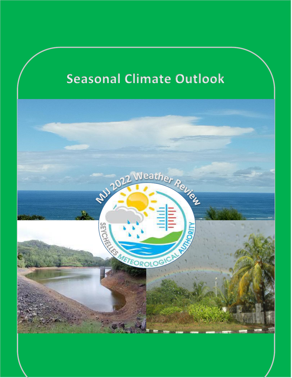# Seasonal Climate Outlook

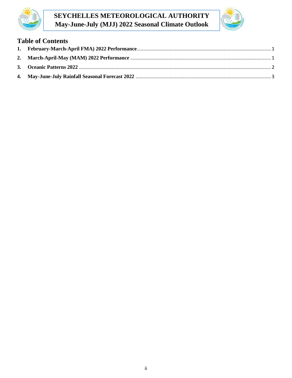

# **SEYCHELLES METEOROLOGICAL AUTHORITY May-June-July (MJJ) 2022 Seasonal Climate Outlook**



# **Table of Contents**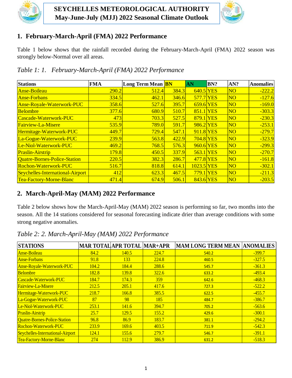



## <span id="page-2-0"></span>**1. February-March-April (FMA) 2022 Performance**

Table 1 below shows that the rainfall recorded during the February-March-April (FMA) 2022 season was strongly below-Normal over all areas.

| <b>Stations</b>                  | <b>FMA</b> | Long Term Mean <b>BN</b> |       | AN          | BN? | AN?            | <b>Anomalies</b> |
|----------------------------------|------------|--------------------------|-------|-------------|-----|----------------|------------------|
| <b>Anse-Boileau</b>              | 290.2      | 512.4                    | 384.3 | $640.5$ YES |     | N <sub>O</sub> | $-222.2$         |
| <b>Anse-Forbans</b>              | 334.5      | 462.1                    | 346.6 | 577.7 YES   |     | N <sub>O</sub> | $-127.6$         |
| Anse-Royale-Waterwork-PUC        | 358.6      | 527.6                    | 395.7 | $659.6$ YES |     | N <sub>O</sub> | $-169.0$         |
| <b>Belombre</b>                  | 377.6      | 680.9                    | 510.7 | 851.1 YES   |     | N <sub>O</sub> | $-303.3$         |
| Cascade-Waterwork-PUC            | 473        | 703.3                    | 527.5 | 879.1 YES   |     | N <sub>O</sub> | $-230.3$         |
| <b>Fairview-La-Misere</b>        | 535.9      | <b>789.0</b>             | 591.7 | 986.2 YES   |     | N <sub>O</sub> | $-253.1$         |
| Hermitage-Waterwork-PUC          | 449.7      | 729.4                    | 547.1 | 911.8 YES   |     | N <sub>O</sub> | $-279.7$         |
| La-Gogue-Waterwork-PUC           | 239.9      | 563.8                    | 422.9 | 704.8 YES   |     | N <sub>O</sub> | $-323.9$         |
| Le-Niol-Waterwork-PUC            | 469.2      | 768.5                    | 576.3 | 960.6 YES   |     | N <sub>O</sub> | $-299.3$         |
| <b>Praslin-Airstrip</b>          | 179.8      | 450.5                    | 337.9 | $563.1$ YES |     | N <sub>O</sub> | $-270.7$         |
| Quatre-Bornes-Police-Station     | 220.5      | 382.3                    | 286.7 | 477.8 YES   |     | N <sub>O</sub> | $-161.8$         |
| <b>Rochon-Waterwork-PUC</b>      | 516.7      | 818.8                    | 614.1 | 1023.5 YES  |     | N <sub>O</sub> | $-302.1$         |
| Seychelles-International-Airport | 412        | 623.3                    | 467.5 | 779.1 YES   |     | N <sub>O</sub> | $-211.3$         |
| Tea-Factory-Morne-Blanc          | 471.4      | 674.9                    | 506.1 | 843.6 YES   |     | N <sub>O</sub> | $-203.5$         |

*Table 1: 1. February-March-April (FMA) 2022 Performance*

#### <span id="page-2-1"></span>**2. March-April-May (MAM) 2022 Performance**

Table 2 below shows how the March-April-May (MAM) 2022 season is performing so far, two months into the season. All the 14 stations considered for seasonal forecasting indicate drier than average conditions with some strong negative anomalies.

| <b>STATIONS</b>                  |       | <b>MAR TOTAL APR TOTAL MAR+APR</b> |       | <b>MAM LONG TERM MEAN</b> | <b>ANOMALIES</b> |
|----------------------------------|-------|------------------------------------|-------|---------------------------|------------------|
| <b>Anse-Boileau</b>              | 84.2  | 140.5                              | 224.7 | 540.2                     | $-399.7$         |
| <b>Anse-Forbans</b>              | 91.8  | <b>133</b>                         | 224.8 | 460.5                     | $-327.5$         |
| Anse-Royale-Waterwork-PUC        | 104.2 | 184.4                              | 288.6 | 545.7                     | $-361.3$         |
| <b>Belombre</b>                  | 182.8 | 139.8                              | 322.6 | 633.2                     | $-493.4$         |
| Cascade-Waterwork-PUC            | 184.7 | 174.3                              | 359   | 642.6                     | $-468.3$         |
| <b>Fairview-La-Misere</b>        | 212.5 | 205.1                              | 417.6 | 727.3                     | $-522.2$         |
| Hermitage-Waterwork-PUC          | 218.7 | 166.8                              | 385.5 | 622.5                     | $-455.7$         |
| La-Gogue-Waterwork-PUC           | 87    | 98                                 | 185   | 484.7                     | $-386.7$         |
| Le-Niol-Waterwork-PUC            | 253.1 | 141.6                              | 394.7 | 705.2                     | $-563.6$         |
| <b>Praslin-Airstrip</b>          | 25.7  | <b>129.5</b>                       | 155.2 | 429.6                     | $-300.1$         |
| Quatre-Bornes-Police-Station     | 96.8  | 86.9                               | 183.7 | 381.1                     | $-294.2$         |
| Rochon-Waterwork-PUC             | 233.9 | 169.6                              | 403.5 | 711.9                     | $-542.3$         |
| Seychelles-International-Airport | 124.1 | 155.6                              | 279.7 | 546.7                     | $-391.1$         |
| Tea-Factory-Morne-Blanc          | 274   | 112.9                              | 386.9 | 631.2                     | $-518.3$         |

*Table 2: 2. March-April-May (MAM) 2022 Performance*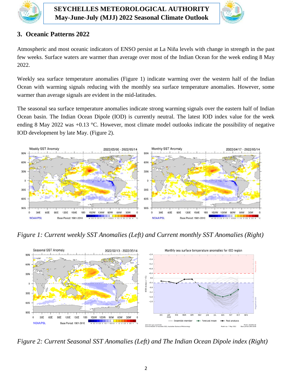



#### <span id="page-3-0"></span>**3. Oceanic Patterns 2022**

Atmospheric and most oceanic indicators of ENSO persist at La Niña levels with change in strength in the past few weeks. Surface waters are warmer than average over most of the Indian Ocean for the week ending 8 May 2022.

Weekly sea surface temperature anomalies (Figure 1) indicate warming over the western half of the Indian Ocean with warming signals reducing with the monthly sea surface temperature anomalies. However, some warmer than average signals are evident in the mid-latitudes.

The seasonal sea surface temperature anomalies indicate strong warming signals over the eastern half of Indian Ocean basin. The Indian Ocean Dipole (IOD) is currently neutral. The latest IOD index value for the week ending 8 May 2022 was +0.13 °C. However, most climate model outlooks indicate the possibility of negative IOD development by late May. (Figure 2).



*Figure 1: Current weekly SST Anomalies (Left) and Current monthly SST Anomalies (Right)*



*Figure 2: Current Seasonal SST Anomalies (Left) and The Indian Ocean Dipole index (Right)*